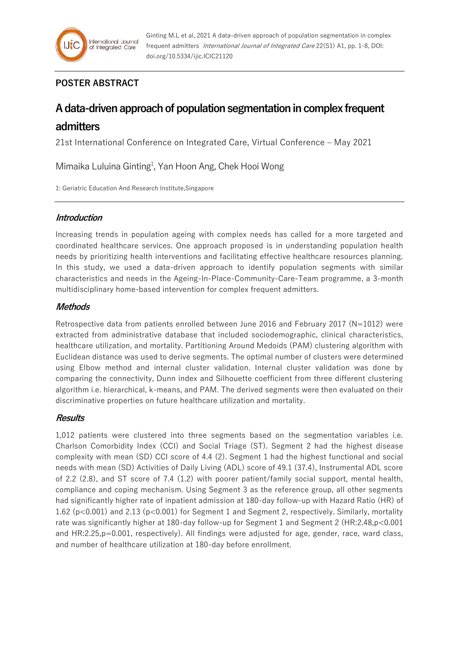## **POSTER ABSTRACT**

# **A data-driven approach of population segmentation in complex frequent admitters**

21st International Conference on Integrated Care, Virtual Conference – May 2021

Mimaika Luluina Ginting<sup>1</sup>, Yan Hoon Ang, Chek Hooi Wong

1: Geriatric Education And Research Institute,Singapore

## **Introduction**

Increasing trends in population ageing with complex needs has called for a more targeted and coordinated healthcare services. One approach proposed is in understanding population health needs by prioritizing health interventions and facilitating effective healthcare resources planning. In this study, we used a data-driven approach to identify population segments with similar characteristics and needs in the Ageing-In-Place-Community-Care-Team programme, a 3-month multidisciplinary home-based intervention for complex frequent admitters.

## **Methods**

Retrospective data from patients enrolled between June 2016 and February 2017 (N=1012) were extracted from administrative database that included sociodemographic, clinical characteristics, healthcare utilization, and mortality. Partitioning Around Medoids (PAM) clustering algorithm with Euclidean distance was used to derive segments. The optimal number of clusters were determined using Elbow method and internal cluster validation. Internal cluster validation was done by comparing the connectivity, Dunn index and Silhouette coefficient from three different clustering algorithm i.e. hierarchical, k-means, and PAM. The derived segments were then evaluated on their discriminative properties on future healthcare utilization and mortality.

## **Results**

1,012 patients were clustered into three segments based on the segmentation variables i.e. Charlson Comorbidity Index (CCI) and Social Triage (ST). Segment 2 had the highest disease complexity with mean (SD) CCI score of 4.4 (2). Segment 1 had the highest functional and social needs with mean (SD) Activities of Daily Living (ADL) score of 49.1 (37.4), Instrumental ADL score of 2.2 (2.8), and ST score of 7.4 (1.2) with poorer patient/family social support, mental health, compliance and coping mechanism. Using Segment 3 as the reference group, all other segments had significantly higher rate of inpatient admission at 180-day follow-up with Hazard Ratio (HR) of 1.62 (p<0.001) and 2.13 (p<0.001) for Segment 1 and Segment 2, respectively. Similarly, mortality rate was significantly higher at 180-day follow-up for Segment 1 and Segment 2 (HR:2.48,p<0.001 and HR:2.25,p=0.001, respectively). All findings were adjusted for age, gender, race, ward class, and number of healthcare utilization at 180-day before enrollment.